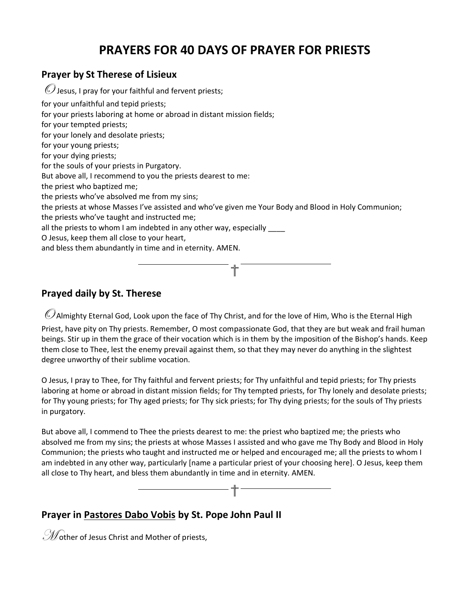# **PRAYERS FOR 40 DAYS OF PRAYER FOR PRIESTS**

#### **Prayer by St Therese of Lisieux**

 $\mathcal O$  Jesus, I pray for your faithful and fervent priests; for your unfaithful and tepid priests; for your priests laboring at home or abroad in distant mission fields; for your tempted priests; for your lonely and desolate priests; for your young priests; for your dying priests; for the souls of your priests in Purgatory. But above all, I recommend to you the priests dearest to me: the priest who baptized me; the priests who've absolved me from my sins; the priests at whose Masses I've assisted and who've given me Your Body and Blood in Holy Communion; the priests who've taught and instructed me; all the priests to whom I am indebted in any other way, especially O Jesus, keep them all close to your heart, and bless them abundantly in time and in eternity. AMEN.

## **Prayed daily by St. Therese**

 $\mathscr O$  Almighty Eternal God, Look upon the face of Thy Christ, and for the love of Him, Who is the Eternal High

Priest, have pity on Thy priests. Remember, O most compassionate God, that they are but weak and frail human beings. Stir up in them the grace of their vocation which is in them by the imposition of the Bishop's hands. Keep them close to Thee, lest the enemy prevail against them, so that they may never do anything in the slightest degree unworthy of their sublime vocation.

O Jesus, I pray to Thee, for Thy faithful and fervent priests; for Thy unfaithful and tepid priests; for Thy priests laboring at home or abroad in distant mission fields; for Thy tempted priests, for Thy lonely and desolate priests; for Thy young priests; for Thy aged priests; for Thy sick priests; for Thy dying priests; for the souls of Thy priests in purgatory.

But above all, I commend to Thee the priests dearest to me: the priest who baptized me; the priests who absolved me from my sins; the priests at whose Masses I assisted and who gave me Thy Body and Blood in Holy Communion; the priests who taught and instructed me or helped and encouraged me; all the priests to whom I am indebted in any other way, particularly [name a particular priest of your choosing here]. O Jesus, keep them all close to Thy heart, and bless them abundantly in time and in eternity. AMEN.

# **Prayer in Pastores Dabo Vobis by St. Pope John Paul II**

 $\mathscr M$  other of Jesus Christ and Mother of priests,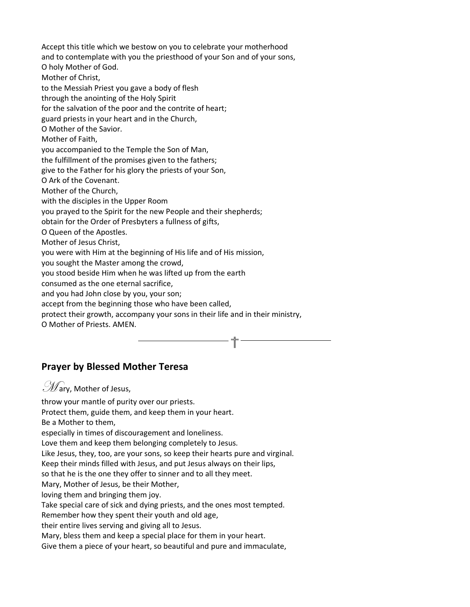Accept this title which we bestow on you to celebrate your motherhood and to contemplate with you the priesthood of your Son and of your sons, O holy Mother of God. Mother of Christ, to the Messiah Priest you gave a body of flesh through the anointing of the Holy Spirit for the salvation of the poor and the contrite of heart; guard priests in your heart and in the Church, O Mother of the Savior. Mother of Faith, you accompanied to the Temple the Son of Man, the fulfillment of the promises given to the fathers; give to the Father for his glory the priests of your Son, O Ark of the Covenant. Mother of the Church, with the disciples in the Upper Room you prayed to the Spirit for the new People and their shepherds; obtain for the Order of Presbyters a fullness of gifts, O Queen of the Apostles. Mother of Jesus Christ, you were with Him at the beginning of His life and of His mission, you sought the Master among the crowd, you stood beside Him when he was lifted up from the earth consumed as the one eternal sacrifice, and you had John close by you, your son; accept from the beginning those who have been called, protect their growth, accompany your sons in their life and in their ministry, O Mother of Priests. AMEN.

## **Prayer by Blessed Mother Teresa**

 $\mathscr{M}$ ary, Mother of Jesus,

throw your mantle of purity over our priests. Protect them, guide them, and keep them in your heart. Be a Mother to them, especially in times of discouragement and loneliness. Love them and keep them belonging completely to Jesus. Like Jesus, they, too, are your sons, so keep their hearts pure and virginal. Keep their minds filled with Jesus, and put Jesus always on their lips, so that he is the one they offer to sinner and to all they meet. Mary, Mother of Jesus, be their Mother, loving them and bringing them joy. Take special care of sick and dying priests, and the ones most tempted. Remember how they spent their youth and old age, their entire lives serving and giving all to Jesus. Mary, bless them and keep a special place for them in your heart. Give them a piece of your heart, so beautiful and pure and immaculate,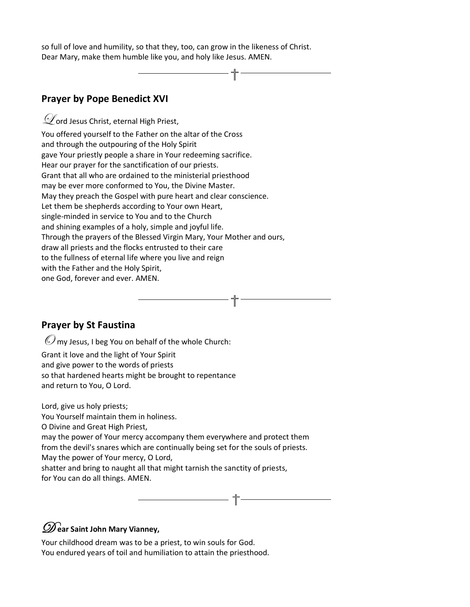so full of love and humility, so that they, too, can grow in the likeness of Christ. Dear Mary, make them humble like you, and holy like Jesus. AMEN.

一十一

## **Prayer by Pope Benedict XVI**

 $\mathscr Q$  ord Jesus Christ, eternal High Priest,

You offered yourself to the Father on the altar of the Cross and through the outpouring of the Holy Spirit gave Your priestly people a share in Your redeeming sacrifice. Hear our prayer for the sanctification of our priests. Grant that all who are ordained to the ministerial priesthood may be ever more conformed to You, the Divine Master. May they preach the Gospel with pure heart and clear conscience. Let them be shepherds according to Your own Heart, single-minded in service to You and to the Church and shining examples of a holy, simple and joyful life. Through the prayers of the Blessed Virgin Mary, Your Mother and ours, draw all priests and the flocks entrusted to their care to the fullness of eternal life where you live and reign with the Father and the Holy Spirit, one God, forever and ever. AMEN.

#### **Prayer by St Faustina**

 $\mathcal O$  my Jesus, I beg You on behalf of the whole Church: Grant it love and the light of Your Spirit and give power to the words of priests so that hardened hearts might be brought to repentance and return to You, O Lord.

Lord, give us holy priests; You Yourself maintain them in holiness. O Divine and Great High Priest, may the power of Your mercy accompany them everywhere and protect them from the devil's snares which are continually being set for the souls of priests. May the power of Your mercy, O Lord, shatter and bring to naught all that might tarnish the sanctity of priests, for You can do all things. AMEN.

# $\mathscr D$  ear Saint John Mary Vianney,

Your childhood dream was to be a priest, to win souls for God. You endured years of toil and humiliation to attain the priesthood.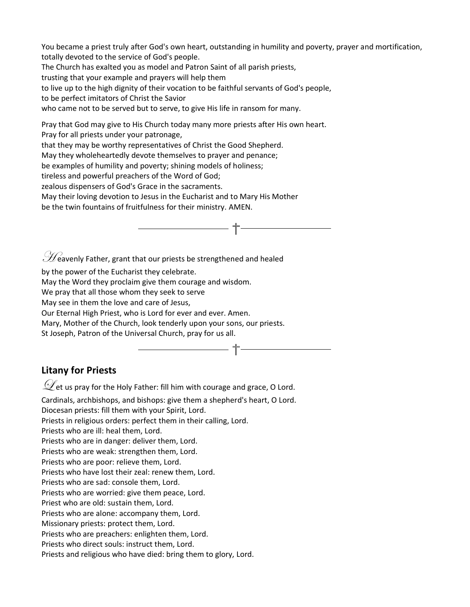You became a priest truly after God's own heart, outstanding in humility and poverty, prayer and mortification, totally devoted to the service of God's people. The Church has exalted you as model and Patron Saint of all parish priests, trusting that your example and prayers will help them to live up to the high dignity of their vocation to be faithful servants of God's people,

to be perfect imitators of Christ the Savior

who came not to be served but to serve, to give His life in ransom for many.

Pray that God may give to His Church today many more priests after His own heart.

Pray for all priests under your patronage,

that they may be worthy representatives of Christ the Good Shepherd.

May they wholeheartedly devote themselves to prayer and penance;

be examples of humility and poverty; shining models of holiness;

tireless and powerful preachers of the Word of God;

zealous dispensers of God's Grace in the sacraments.

May their loving devotion to Jesus in the Eucharist and to Mary His Mother

be the twin fountains of fruitfulness for their ministry. AMEN.

 $\mathscr H$  eavenly Father, grant that our priests be strengthened and healed

by the power of the Eucharist they celebrate.

May the Word they proclaim give them courage and wisdom.

We pray that all those whom they seek to serve

May see in them the love and care of Jesus,

Our Eternal High Priest, who is Lord for ever and ever. Amen.

Mary, Mother of the Church, look tenderly upon your sons, our priests.

St Joseph, Patron of the Universal Church, pray for us all.

#### **Litany for Priests**

 $\mathcal Q$ et us pray for the Holy Father: fill him with courage and grace, O Lord.

Cardinals, archbishops, and bishops: give them a shepherd's heart, O Lord. Diocesan priests: fill them with your Spirit, Lord. Priests in religious orders: perfect them in their calling, Lord. Priests who are ill: heal them, Lord. Priests who are in danger: deliver them, Lord. Priests who are weak: strengthen them, Lord. Priests who are poor: relieve them, Lord. Priests who have lost their zeal: renew them, Lord. Priests who are sad: console them, Lord. Priests who are worried: give them peace, Lord. Priest who are old: sustain them, Lord. Priests who are alone: accompany them, Lord. Missionary priests: protect them, Lord. Priests who are preachers: enlighten them, Lord. Priests who direct souls: instruct them, Lord. Priests and religious who have died: bring them to glory, Lord.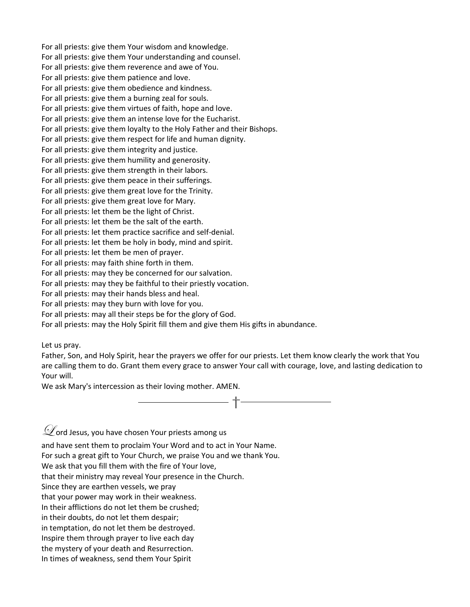For all priests: give them Your wisdom and knowledge. For all priests: give them Your understanding and counsel. For all priests: give them reverence and awe of You. For all priests: give them patience and love. For all priests: give them obedience and kindness. For all priests: give them a burning zeal for souls. For all priests: give them virtues of faith, hope and love. For all priests: give them an intense love for the Eucharist. For all priests: give them loyalty to the Holy Father and their Bishops. For all priests: give them respect for life and human dignity. For all priests: give them integrity and justice. For all priests: give them humility and generosity. For all priests: give them strength in their labors. For all priests: give them peace in their sufferings. For all priests: give them great love for the Trinity. For all priests: give them great love for Mary. For all priests: let them be the light of Christ. For all priests: let them be the salt of the earth. For all priests: let them practice sacrifice and self-denial. For all priests: let them be holy in body, mind and spirit. For all priests: let them be men of prayer. For all priests: may faith shine forth in them. For all priests: may they be concerned for our salvation. For all priests: may they be faithful to their priestly vocation. For all priests: may their hands bless and heal. For all priests: may they burn with love for you. For all priests: may all their steps be for the glory of God. For all priests: may the Holy Spirit fill them and give them His gifts in abundance.

Let us pray.

Father, Son, and Holy Spirit, hear the prayers we offer for our priests. Let them know clearly the work that You are calling them to do. Grant them every grace to answer Your call with courage, love, and lasting dedication to Your will.

We ask Mary's intercession as their loving mother. AMEN.

—— †———————

 $\mathscr Q$  ord Jesus, you have chosen Your priests among us

and have sent them to proclaim Your Word and to act in Your Name. For such a great gift to Your Church, we praise You and we thank You. We ask that you fill them with the fire of Your love, that their ministry may reveal Your presence in the Church. Since they are earthen vessels, we pray that your power may work in their weakness. In their afflictions do not let them be crushed; in their doubts, do not let them despair; in temptation, do not let them be destroyed. Inspire them through prayer to live each day the mystery of your death and Resurrection. In times of weakness, send them Your Spirit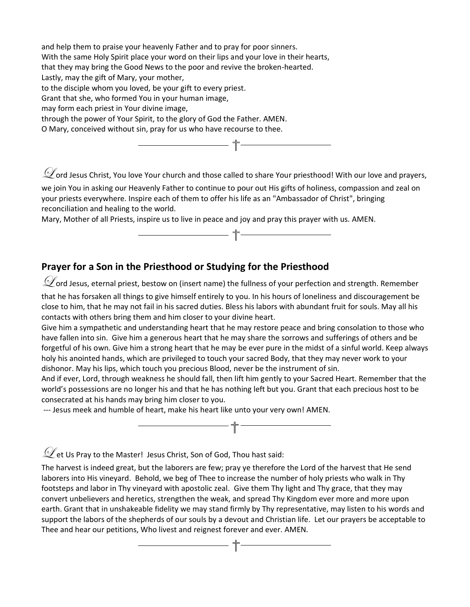and help them to praise your heavenly Father and to pray for poor sinners. With the same Holy Spirit place your word on their lips and your love in their hearts, that they may bring the Good News to the poor and revive the broken-hearted. Lastly, may the gift of Mary, your mother, to the disciple whom you loved, be your gift to every priest. Grant that she, who formed You in your human image, may form each priest in Your divine image, through the power of Your Spirit, to the glory of God the Father. AMEN. O Mary, conceived without sin, pray for us who have recourse to thee.



 $\mathscr L$  ord Jesus Christ, You love Your church and those called to share Your priesthood! With our love and prayers,

we join You in asking our Heavenly Father to continue to pour out His gifts of holiness, compassion and zeal on your priests everywhere. Inspire each of them to offer his life as an "Ambassador of Christ", bringing reconciliation and healing to the world.

Mary, Mother of all Priests, inspire us to live in peace and joy and pray this prayer with us. AMEN. 

## **Prayer for a Son in the Priesthood or Studying for the Priesthood**

 $\mathscr Q$ ord Jesus, eternal priest, bestow on (insert name) the fullness of your perfection and strength. Remember

that he has forsaken all things to give himself entirely to you. In his hours of loneliness and discouragement be close to him, that he may not fail in his sacred duties. Bless his labors with abundant fruit for souls. May all his contacts with others bring them and him closer to your divine heart.

Give him a sympathetic and understanding heart that he may restore peace and bring consolation to those who have fallen into sin. Give him a generous heart that he may share the sorrows and sufferings of others and be forgetful of his own. Give him a strong heart that he may be ever pure in the midst of a sinful world. Keep always holy his anointed hands, which are privileged to touch your sacred Body, that they may never work to your dishonor. May his lips, which touch you precious Blood, never be the instrument of sin.

And if ever, Lord, through weakness he should fall, then lift him gently to your Sacred Heart. Remember that the world's possessions are no longer his and that he has nothing left but you. Grant that each precious host to be consecrated at his hands may bring him closer to you.

--- Jesus meek and humble of heart, make his heart like unto your very own! AMEN.



 $\mathscr Q$  et Us Pray to the Master! Jesus Christ, Son of God, Thou hast said:

The harvest is indeed great, but the laborers are few; pray ye therefore the Lord of the harvest that He send laborers into His vineyard. Behold, we beg of Thee to increase the number of holy priests who walk in Thy footsteps and labor in Thy vineyard with apostolic zeal. Give them Thy light and Thy grace, that they may convert unbelievers and heretics, strengthen the weak, and spread Thy Kingdom ever more and more upon earth. Grant that in unshakeable fidelity we may stand firmly by Thy representative, may listen to his words and support the labors of the shepherds of our souls by a devout and Christian life. Let our prayers be acceptable to Thee and hear our petitions, Who livest and reignest forever and ever. AMEN.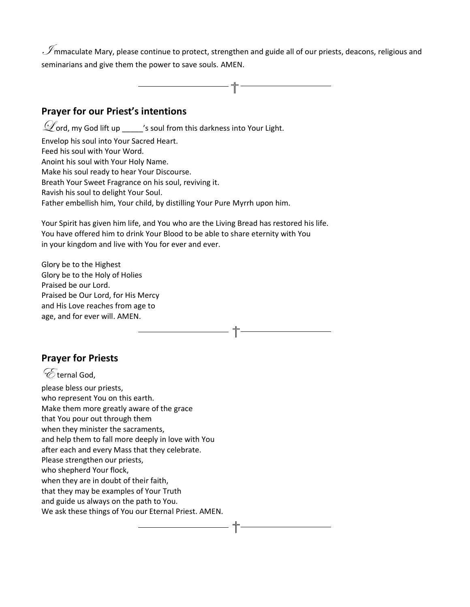$\mathscr I$ mmaculate Mary, please continue to protect, strengthen and guide all of our priests, deacons, religious and seminarians and give them the power to save souls. AMEN.



#### **Prayer for our Priest's intentions**

 $\mathcal Q$  ord, my God lift up \_\_\_\_\_'s soul from this darkness into Your Light. Envelop his soul into Your Sacred Heart. Feed his soul with Your Word. Anoint his soul with Your Holy Name. Make his soul ready to hear Your Discourse. Breath Your Sweet Fragrance on his soul, reviving it. Ravish his soul to delight Your Soul. Father embellish him, Your child, by distilling Your Pure Myrrh upon him.

Your Spirit has given him life, and You who are the Living Bread has restored his life. You have offered him to drink Your Blood to be able to share eternity with You in your kingdom and live with You for ever and ever.

Glory be to the Highest Glory be to the Holy of Holies Praised be our Lord. Praised be Our Lord, for His Mercy and His Love reaches from age to age, and for ever will. AMEN.

**Prayer for Priests**

 $\mathscr{\widehat{C}}$  ternal God. please bless our priests, who represent You on this earth. Make them more greatly aware of the grace that You pour out through them when they minister the sacraments, and help them to fall more deeply in love with You after each and every Mass that they celebrate. Please strengthen our priests, who shepherd Your flock, when they are in doubt of their faith, that they may be examples of Your Truth and guide us always on the path to You. We ask these things of You our Eternal Priest. AMEN.